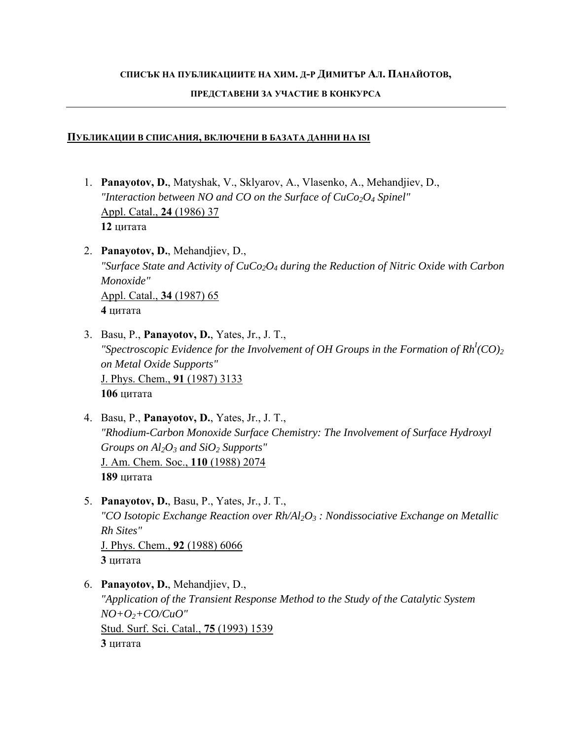## **СПИСЪК НА ПУБЛИКАЦИИТЕ НА ХИМ. Д-Р ДИМИТЪР АЛ. ПАНАЙОТОВ,**

## **ПРЕДСТАВЕНИ ЗА УЧАСТИЕ В КОНКУРСА**

## **ПУБЛИКАЦИИ В СПИСАНИЯ, ВКЛЮЧЕНИ В БАЗАТА ДАННИ НА ISI**

- 1. **Panayotov, D.**, Matyshak, V., Sklyarov, A., Vlasenko, A., Mehandjiev, D., *"Interaction between NO and CO on the Surface of CuCo2O4 Spinel"*  Appl. Catal., **24** (1986) 37 **12** цитата
- 2. **Panayotov, D.**, Mehandjiev, D., *"Surface State and Activity of CuCo2O4 during the Reduction of Nitric Oxide with Carbon Monoxide"* Appl. Catal., **34** (1987) 65 **4** цитата
- 3. Basu, P., **Panayotov, D.**, Yates, Jr., J. T., *"Spectroscopic Evidence for the Involvement of OH Groups in the Formation of Rh<sup>I</sup> (CO)2 on Metal Oxide Supports"*  J. Phys. Chem., **91** (1987) 3133 **106** цитата
- 4. Basu, P., **Panayotov, D.**, Yates, Jr., J. T., *"Rhodium-Carbon Monoxide Surface Chemistry: The Involvement of Surface Hydroxyl Groups on Al2O3 and SiO2 Supports"* J. Am. Chem. Soc., **110** (1988) 2074 **189** цитата
- 5. **Panayotov, D.**, Basu, P., Yates, Jr., J. T., *"CO Isotopic Exchange Reaction over Rh/Al2O3 : Nondissociative Exchange on Metallic Rh Sites"* J. Phys. Chem., **92** (1988) 6066 **3** цитата
- 6. **Panayotov, D.**, Mehandjiev, D., *"Application of the Transient Response Method to the Study of the Catalytic System NO+O2+CO/CuO"*  Stud. Surf. Sci. Catal., **75** (1993) 1539 **3** цитата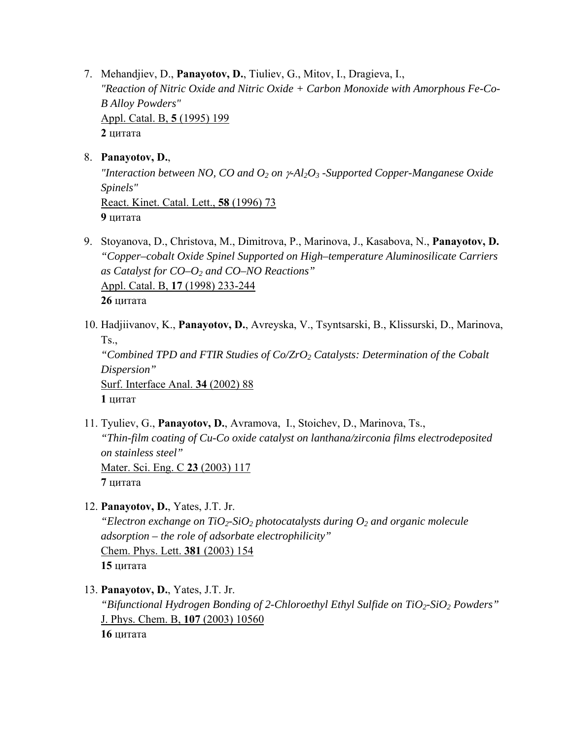7. Mehandjiev, D., **Panayotov, D.**, Tiuliev, G., Mitov, I., Dragieva, I., *"Reaction of Nitric Oxide and Nitric Oxide + Carbon Monoxide with Amorphous Fe-Co-B Alloy Powders"* Appl. Catal. B, **5** (1995) 199 **2** цитата

## 8. **Panayotov, D.**,

*"Interaction between NO, CO and O2 on* γ*-Al2O3 -Supported Copper-Manganese Oxide Spinels"* React. Kinet. Catal. Lett., **58** (1996) 73 **9** цитата

- 9. Stoyanova, D., Christova, M., Dimitrova, P., Marinova, J., Kasabova, N., **Panayotov, D.** *"Copper–cobalt Oxide Spinel Supported on High–temperature Aluminosilicate Carriers as Catalyst for CO–O2 and CO–NO Reactions"* Appl. Catal. B, **17** (1998) 233-244 **26** цитата
- 10. Hadjiivanov, K., **Panayotov, D.**, Avreyska, V., Tsyntsarski, B., Klissurski, D., Marinova, Ts., *"Combined TPD and FTIR Studies of Co/ZrO<sub>2</sub> Catalysts: Determination of the Cobalt Dispersion"* Surf. Interface Anal. **34** (2002) 88 **1** цитат
- 11. Tyuliev, G., **Panayotov, D.**, Avramova, I., Stoichev, D., Marinova, Ts., *"Thin-film coating of Cu-Co oxide catalyst on lanthana/zirconia films electrodeposited on stainless steel"* Mater. Sci. Eng. C **23** (2003) 117 **7** цитата
- 12. **Panayotov, D.**, Yates, J.T. Jr.

*"Electron exchange on TiO2-SiO2 photocatalysts during O2 and organic molecule adsorption – the role of adsorbate electrophilicity"*  Chem. Phys. Lett. **381** (2003) 154 **15** цитата

13. **Panayotov, D.**, Yates, J.T. Jr.

*"Bifunctional Hydrogen Bonding of 2-Chloroethyl Ethyl Sulfide on TiO<sub>2</sub>-SiO<sub>2</sub> Powders"* J. Phys. Chem. B, **107** (2003) 10560

**16** цитата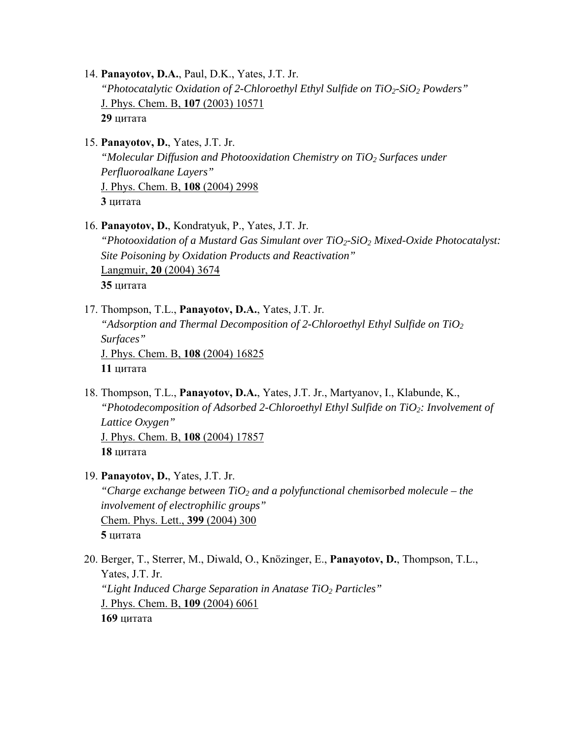14. **Panayotov, D.A.**, Paul, D.K., Yates, J.T. Jr. *"Photocatalytic Oxidation of 2-Chloroethyl Ethyl Sulfide on TiO<sub>2</sub>-SiO<sub>2</sub> Powders"* J. Phys. Chem. B, **107** (2003) 10571 **29** цитата

15. **Panayotov, D.**, Yates, J.T. Jr.

*"Molecular Diffusion and Photooxidation Chemistry on TiO<sub>2</sub> Surfaces under Perfluoroalkane Layers"* J. Phys. Chem. B, **108** (2004) 2998 **3** цитата

- 16. **Panayotov, D.**, Kondratyuk, P., Yates, J.T. Jr. *"Photooxidation of a Mustard Gas Simulant over TiO2-SiO2 Mixed-Oxide Photocatalyst: Site Poisoning by Oxidation Products and Reactivation"*  Langmuir, **20** (2004) 3674 **35** цитата
- 17. Thompson, T.L., **Panayotov, D.A.**, Yates, J.T. Jr. *"Adsorption and Thermal Decomposition of 2-Chloroethyl Ethyl Sulfide on TiO2 Surfaces"* J. Phys. Chem. B, **108** (2004) 16825 **11** цитата
- 18. Thompson, T.L., **Panayotov, D.A.**, Yates, J.T. Jr., Martyanov, I., Klabunde, K., *"Photodecomposition of Adsorbed 2-Chloroethyl Ethyl Sulfide on TiO2: Involvement of Lattice Oxygen"* J. Phys. Chem. B, **108** (2004) 17857 **18** цитата
- 19. **Panayotov, D.**, Yates, J.T. Jr. "Charge exchange between  $TiO<sub>2</sub>$  and a polyfunctional chemisorbed molecule – the *involvement of electrophilic groups"*  Chem. Phys. Lett., **399** (2004) 300 **5** цитата
- 20. Berger, T., Sterrer, M., Diwald, O., Knözinger, E., **Panayotov, D.**, Thompson, T.L., Yates, J.T. Jr. *"Light Induced Charge Separation in Anatase TiO2 Particles"* J. Phys. Chem. B, **109** (2004) 6061 **169** цитата